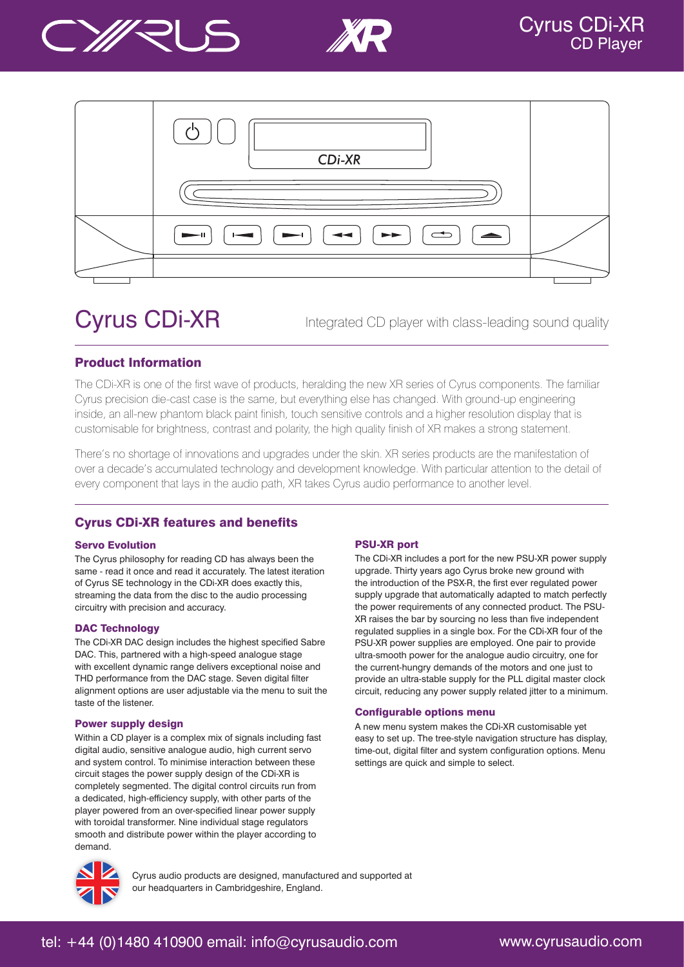





# Cyrus CDi-XR

Integrated CD player with class-leading sound quality

## Product Information

The CDi-XR is one of the first wave of products, heralding the new XR series of Cyrus components. The familiar Cyrus precision die-cast case is the same, but everything else has changed. With ground-up engineering inside, an all-new phantom black paint finish, touch sensitive controls and a higher resolution display that is customisable for brightness, contrast and polarity, the high quality finish of XR makes a strong statement.

There's no shortage of innovations and upgrades under the skin. XR series products are the manifestation of over a decade's accumulated technology and development knowledge. With particular attention to the detail of every component that lays in the audio path, XR takes Cyrus audio performance to another level.

# Cyrus CDi-XR features and benefits

### Servo Evolution

The Cyrus philosophy for reading CD has always been the same - read it once and read it accurately. The latest iteration of Cyrus SE technology in the CDi-XR does exactly this, streaming the data from the disc to the audio processing circuitry with precision and accuracy.

## DAC Technology

The CDi-XR DAC design includes the highest specified Sabre DAC. This, partnered with a high-speed analogue stage with excellent dynamic range delivers exceptional noise and THD performance from the DAC stage. Seven digital filter alignment options are user adjustable via the menu to suit the taste of the listener.

### Power supply design

Within a CD player is a complex mix of signals including fast digital audio, sensitive analogue audio, high current servo and system control. To minimise interaction between these circuit stages the power supply design of the CDi-XR is completely segmented. The digital control circuits run from a dedicated, high-efficiency supply, with other parts of the player powered from an over-specified linear power supply with toroidal transformer. Nine individual stage regulators smooth and distribute power within the player according to demand.

## PSU-XR port

The CDi-XR includes a port for the new PSU-XR power supply upgrade. Thirty years ago Cyrus broke new ground with the introduction of the PSX-R, the first ever regulated power supply upgrade that automatically adapted to match perfectly the power requirements of any connected product. The PSU-XR raises the bar by sourcing no less than five independent regulated supplies in a single box. For the CDi-XR four of the PSU-XR power supplies are employed. One pair to provide ultra-smooth power for the analogue audio circuitry, one for the current-hungry demands of the motors and one just to provide an ultra-stable supply for the PLL digital master clock circuit, reducing any power supply related jitter to a minimum.

### Configurable options menu

A new menu system makes the CDi-XR customisable yet easy to set up. The tree-style navigation structure has display, time-out, digital filter and system configuration options. Menu settings are quick and simple to select.



Cyrus audio products are designed, manufactured and supported at our headquarters in Cambridgeshire, England.